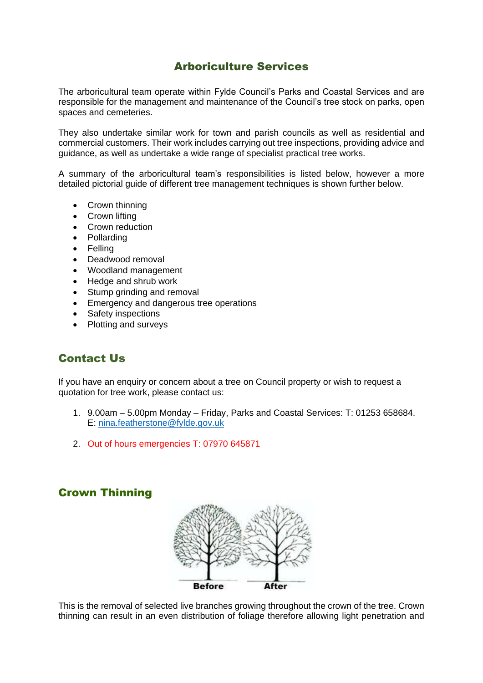# Arboriculture Services

The arboricultural team operate within Fylde Council's Parks and Coastal Services and are responsible for the management and maintenance of the Council's tree stock on parks, open spaces and cemeteries.

They also undertake similar work for town and parish councils as well as residential and commercial customers. Their work includes carrying out tree inspections, providing advice and guidance, as well as undertake a wide range of specialist practical tree works.

A summary of the arboricultural team's responsibilities is listed below, however a more detailed pictorial guide of different tree management techniques is shown further below.

- Crown thinning
- Crown lifting
- Crown reduction
- Pollarding
- Felling
- Deadwood removal
- Woodland management
- Hedge and shrub work
- Stump grinding and removal
- **Emergency and dangerous tree operations**
- Safety inspections
- Plotting and surveys

# Contact Us

If you have an enquiry or concern about a tree on Council property or wish to request a quotation for tree work, please contact us:

- 1. 9.00am 5.00pm Monday Friday, Parks and Coastal Services: T: 01253 658684. E: [nina.featherstone@fylde.gov.uk](mailto:nina.featherstone@fylde.gov.uk)
- 2. Out of hours emergencies T: 07970 645871

### Crown Thinning



This is the removal of selected live branches growing throughout the crown of the tree. Crown thinning can result in an even distribution of foliage therefore allowing light penetration and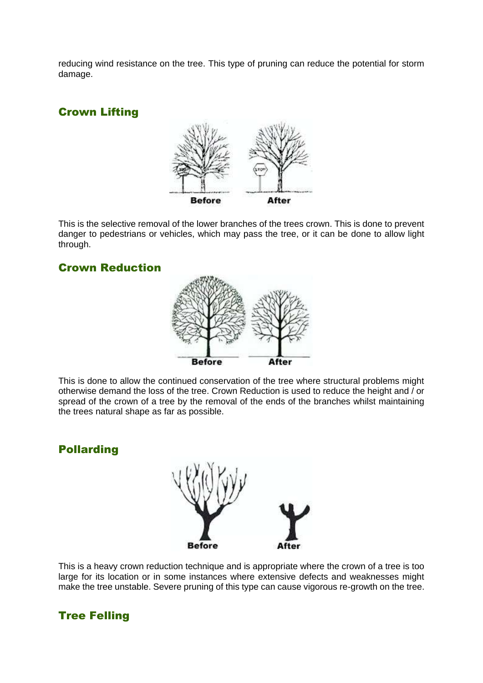reducing wind resistance on the tree. This type of pruning can reduce the potential for storm damage.

# Crown Lifting



This is the selective removal of the lower branches of the trees crown. This is done to prevent danger to pedestrians or vehicles, which may pass the tree, or it can be done to allow light through.

### Crown Reduction



This is done to allow the continued conservation of the tree where structural problems might otherwise demand the loss of the tree. Crown Reduction is used to reduce the height and / or spread of the crown of a tree by the removal of the ends of the branches whilst maintaining the trees natural shape as far as possible.

### Pollarding



This is a heavy crown reduction technique and is appropriate where the crown of a tree is too large for its location or in some instances where extensive defects and weaknesses might make the tree unstable. Severe pruning of this type can cause vigorous re-growth on the tree.

# Tree Felling